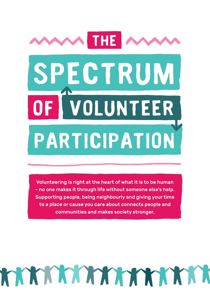# **participation spectrum of volunteer The**

Volunteering is right at the heart of what it is to be human - no one makes it through life without someone else's help. Supporting people, being neighbourly and giving your time to a place or cause you care about connects people and communities and makes society stronger.

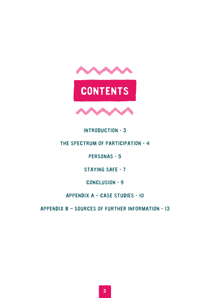

### **Introduction - 3**

### **The spectrum of participation - 4**

**Personas - 5**

**Staying safe - 7**

**Conclusion - 9**

**Appendix A – Case Studies - 10**

**Appendix B – Sources of further information - 13**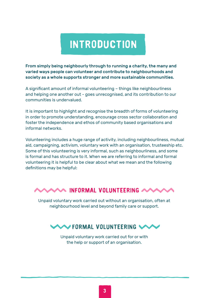### **introduction**

From simply being neighbourly through to running a charity, the many and varied ways people can volunteer and contribute to neighbourhoods and society as a whole supports stronger and more sustainable communities.

A significant amount of informal volunteering – things like neighbourliness and helping one another out - goes unrecognised, and its contribution to our communities is undervalued.

It is important to highlight and recognise the breadth of forms of volunteering in order to promote understanding, encourage cross sector collaboration and foster the independence and ethos of community based organisations and informal networks.

Volunteering includes a huge range of activity, including neighbourliness, mutual aid, campaigning, activism, voluntary work with an organisation, trusteeship etc. Some of this volunteering is very informal, such as neighbourliness, and some is formal and has structure to it. When we are referring to informal and formal volunteering it is helpful to be clear about what we mean and the following definitions may be helpful:

### **Informal volunteering**

Unpaid voluntary work carried out without an organisation, often at neighbourhood level and beyond family care or support.



Unpaid voluntary work carried out for or with the help or support of an organisation.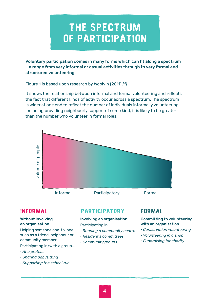### **The spectrum of participation**

Voluntary participation comes in many forms which can fit along a spectrum – a range from very informal or casual activities through to very formal and structured volunteering.

Figure 1 is based upon research by Woolvin (2011) *[1]*

It shows the relationship between informal and formal volunteering and reflects the fact that different kinds of activity occur across a spectrum. The spectrum is wider at one end to reflect the number of individuals informally volunteering including providing neighbourly support of some kind, it is likely to be greater than the number who volunteer in formal roles.



#### Without involving an organisation

Helping someone one-to-one such as a friend, neighbour or community member.

Participating in/with a group...

- *At a protest*
- *Sharing babysitting*
- *Supporting the school run*

### **participatory**

Involving an organisation Participating in...

- *Running a community centre*
- *Resident's committees*
- *Community groups*

#### Committing to volunteering with an organisation

- *Conservation volunteering*
- *Volunteering in a shop*
- *Fundraising for charity*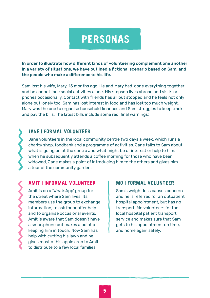### **personas**

In order to illustrate how different kinds of volunteering complement one another in a variety of situations, we have outlined a fictional scenario based on Sam, and the people who make a difference to his life.

Sam lost his wife, Mary, 15 months ago. He and Mary had 'done everything together' and he cannot face social activities alone. His stepson lives abroad and visits or phones occasionally. Contact with friends has all but stopped and he feels not only alone but lonely too. Sam has lost interest in food and has lost too much weight. Mary was the one to organise household finances and Sam struggles to keep track and pay the bills. The latest bills include some red 'final warnings'.

### **Jane | Formal volunteer**

Jane volunteers in the local community centre two days a week, which runs a charity shop, foodbank and a programme of activities. Jane talks to Sam about what is going on at the centre and what might be of interest or help to him. When he subsequently attends a coffee morning for those who have been widowed, Jane makes a point of introducing him to the others and gives him a tour of the community garden.

#### **amit | Informal volunteer**

Amit is on a 'WhatsApp' group for the street where Sam lives. Its members use the group to exchange information, to ask for or offer help and to organise occasional events. Amit is aware that Sam doesn't have a smartphone but makes a point of keeping him in touch. Now Sam has help with cutting his lawn and he gives most of his apple crop to Amit to distribute to a few local families.

#### **mo | Formal volunteer**

Sam's weight loss causes concern and he is referred for an outpatient hospital appointment, but has no transport. Mo volunteers for the local hospital patient transport service and makes sure that Sam gets to his appointment on time, and home again safely.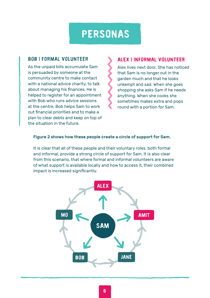### **personas**

#### **Bob | Formal volunteer**

As the unpaid bills accumulate Sam is persuaded by someone at the community centre to make contact with a national advice charity, to talk about managing his finances. He is helped to register for an appointment with Bob who runs advice sessions at the centre. Bob helps Sam to work out financial priorities and to make a plan to clear debts and keep on top of the situation in the future.

### **Alex | Informal Volunteer**

Alex lives next door. She has noticed that Sam is no longer out in the garden much and that he looks unkempt and sad. When she goes shopping she asks Sam if he needs anything. When she cooks she sometimes makes extra and pops round with a portion for Sam.

#### Figure 2 shows how these people create a circle of support for Sam.

It is clear that all of these people and their voluntary roles, both formal and informal, provide a strong circle of support for Sam. It is also clear from this scenario, that where formal and informal volunteers are aware of what support is available locally and how to access it, their combined impact is increased significantly.

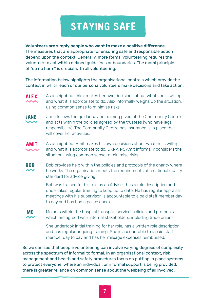### **staying safe**

#### Volunteers are simply people who want to make a positive difference.

The measures that are appropriate for ensuring safe and responsible action depend upon the context. Generally, more formal volunteering requires the volunteer to act within defined guidelines or boundaries. The moral principle of "do no harm" is crucial with all volunteering.

The information below highlights the organisational controls which provide the context in which each of our persona volunteers make decisions and take action.



As a neighbour, Alex makes her own decisions about what she is willing and what it is appropriate to do. Alex informally weighs up the situation, using common sense to minimise risks.

Jane follows the guidance and training given at the Community Centre and acts within the policies agreed by the trustees (who have legal responsibility). The Community Centre has insurance is in place that will cover her activities. **jane**



As a neighbour Amit makes his own decisions about what he is willing and what it is appropriate to do. Like Alex, Amit informally considers the situation, using common sense to minimise risks.

Bob provides help within the policies and protocols of the charity where he works. The organisation meets the requirements of a national quality standard for advice giving. **bob**

> Bob was trained for his role as an Adviser, has a role description and undertakes regular training to keep up to date. He has regular appraisal meetings with his supervisor, is accountable to a paid staff member day to day and has had a police check.

Mo acts within the hospital transport service' policies and protocols which are agreed with internal stakeholders, including trade unions. **mo**

> She undertook initial training for her role, has a written role description and has regular ongoing training. She is accountable to a paid staff member day to day and has her mileage expenses reimbursed.

So we can see that people volunteering can involve varying degrees of complexity across the spectrum of informal to formal. In an organisational context, risk management and health and safety procedures focus on putting in place systems to protect everyone; where an individual, or informal support is being provided, there is greater reliance on common sense about the wellbeing of all involved.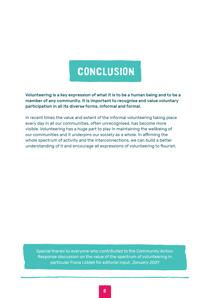### **conclusion**

Volunteering is a key expression of what it is to be a human being and to be a member of any community. It is important to recognise and value voluntary participation in all its diverse forms, informal and formal.

In recent times the value and extent of the informal volunteering taking place every day in all our communities, often unrecognised, has become more visible. Volunteering has a huge part to play in maintaining the wellbeing of our communities and it underpins our society as a whole. In affirming the whole spectrum of activity and the interconnections, we can build a better understanding of it and encourage all expressions of volunteering to flourish.

Special thanks to everyone who contributed to the Community Action Response discussion on the value of the spectrum of volunteering in particular Fiona Liddell for editorial input. *January 2021*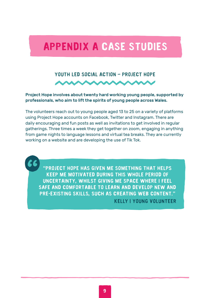### **Appendix A Case Studies**

# **Youth led social action – Project Hope**

Project Hope involves about twenty hard working young people, supported by professionals, who aim to lift the spirits of young people across Wales.

The volunteers reach out to young people aged 13 to 25 on a variety of platforms using Project Hope accounts on Facebook, Twitter and Instagram. There are daily encouraging and fun posts as well as invitations to get involved in regular gatherings. Three times a week they get together on zoom, engaging in anything from game nights to language lessons and virtual tea breaks. They are currently working on a website and are developing the use of Tik Tok.

**"Project Hope has given me something that helps keep me motivated during this whole period of uncertainty, whilst giving me space where I feel safe and comfortable to learn and develop new and pre-existing skills, such as creating web content." Kelly | Young Volunteer**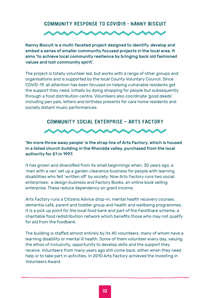#### **Community response to Covid19 - Nanny biscuit**



Nanny Biscuit is a multi-faceted project designed to identify, develop and embed a series of smaller community focused projects in the local area. It aims 'to achieve local community resilience by bringing back old fashioned values and lost community spirit'.

The project is totally volunteer led, but works with a range of other groups and organisations and is supported by the local County Voluntary Council. Since COVID-19, all attention has been focused on helping vulnerable residents get the support they need, initially by doing shopping for people but subsequently through a food distribution centre. Volunteers also coordinate 'good deeds' including pen pals, letters and birthday presents for care home residents and socially distant music performances.



'No more throw away people' is the strap line of Arts Factory, which is housed in a listed church building in the Rhondda valley, purchased from the local authority for £1 in 1997.

It has grown and diversified from its small beginnings when, 30 years ago, a 'man with a van' set up a garden clearance business for people with learning disabilities who felt 'written off' by society. Now Arts Factory runs two social enterprises: a design business and Factory Books, an online book selling enterprise. These reduce dependency on grant income.

Arts Factory runs a Citizens Advice drop-in, mental health recovery courses, dementia café, parent and toddler group and health and wellbeing programmes. It is a pick up point for the local food bank and part of the FareShare scheme, a charitable food redistribution network which benefits those who may not qualify for aid from the foodbank.

The building is staffed almost entirely by its 40 volunteers, many of whom have a learning disability or mental ill health. Some of them volunteer every day, valuing the ethos of inclusivity, opportunity to develop skills and the support they receive. Volunteers from many years ago still come back, either when they need help or to take part in activities. In 2010 Arts Factory achieved the Investing in Volunteers Award.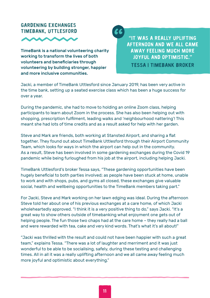### **Gardening Exchanges TimeBank, Uttlesford**



TimeBank is a national volunteering charity working to transform the lives of both volunteers and beneficiaries through volunteering by building stronger, happier and more inclusive communities.

**"it was a really uplifting afternoon and we all came away feeling much more joyful and optimistic." tessa | timebank broker**

Jacki, a member of TimeBank Uttlesford since January 2019, has been very active in the time bank, setting up a seated exercise class which has been a huge success for over a year.

66

During the pandemic, she had to move to holding an online Zoom class, helping participants to learn about Zoom in the process. She has also been helping out with shopping, prescription fulfilment, leading walks and 'neighbourhood nattering'! This meant she had lots of time credits and as a result asked for help with her garden.

Steve and Mark are friends, both working at Stansted Airport, and sharing a flat together. They found out about TimeBank Uttlesford through their Airport Community Team, which looks for ways in which the airport can help out in the community. As a result, Steve has been involved in some gardening exchanges during the Covid 19 pandemic while being furloughed from his job at the airport, including helping Jacki.

TimeBank Uttlesford's broker Tessa says, "These gardening opportunities have been hugely beneficial to both parties involved; as people have been stuck at home, unable to work and with shops, pubs, and gyms all closed, these exchanges give valuable social, health and wellbeing opportunities to the TimeBank members taking part."

For Jacki, Steve and Mark working on her lawn edging was ideal. During the afternoon Steve told her about one of his previous exchanges at a care home, of which Jacki wholeheartedly approved. "I think it is a very positive thing to do," says Jacki. "It's a great way to show others outside of timebanking what enjoyment one gets out of helping people. The fun those two chaps had at the care home – they really had a ball and were rewarded with tea, cake and very kind words. That's what it's all about!"

"Jacki was thrilled with the result and could not have been happier with such a great team," explains Tessa. "There was a lot of laughter and merriment and it was just wonderful to be able to be socialising, safely, during these testing and challenging times. All in all it was a really uplifting afternoon and we all came away feeling much more joyful and optimistic about everything."